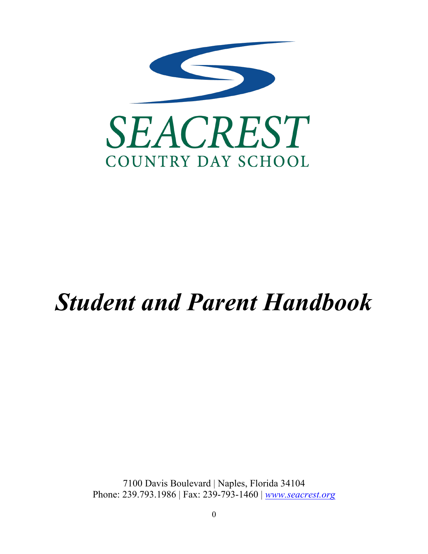

# *Student and Parent Handbook*

7100 Davis Boulevard | Naples, Florida 34104 Phone: 239.793.1986 | Fax: 239-793-1460 | *www.seacrest.org*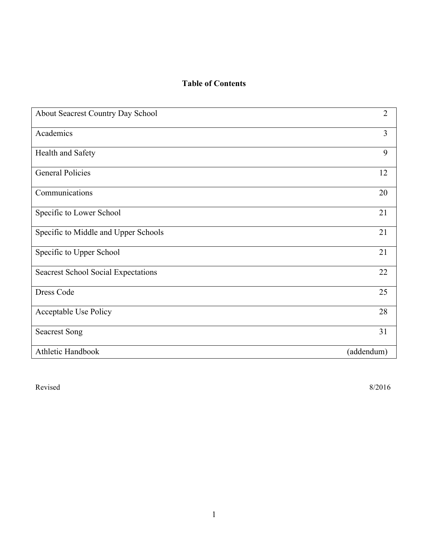## **Table of Contents**

| About Seacrest Country Day School          | $\overline{2}$ |
|--------------------------------------------|----------------|
| Academics                                  | 3              |
| Health and Safety                          | 9              |
| <b>General Policies</b>                    | 12             |
| Communications                             | 20             |
| Specific to Lower School                   | 21             |
| Specific to Middle and Upper Schools       | 21             |
| Specific to Upper School                   | 21             |
| <b>Seacrest School Social Expectations</b> | 22             |
| Dress Code                                 | 25             |
| Acceptable Use Policy                      | 28             |
| <b>Seacrest Song</b>                       | 31             |
| Athletic Handbook                          | (addendum)     |

Revised 8/2016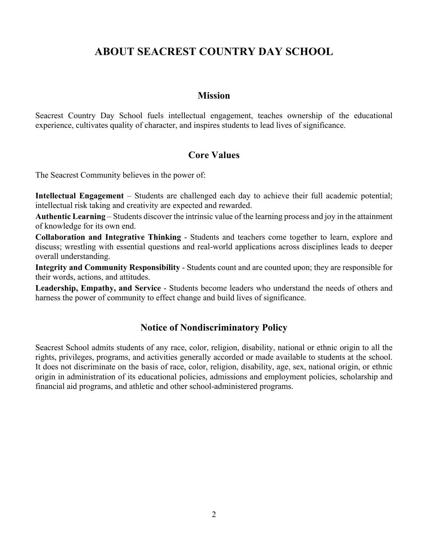# **ABOUT SEACREST COUNTRY DAY SCHOOL**

## **Mission**

Seacrest Country Day School fuels intellectual engagement, teaches ownership of the educational experience, cultivates quality of character, and inspires students to lead lives of significance.

## **Core Values**

The Seacrest Community believes in the power of:

**Intellectual Engagement** – Students are challenged each day to achieve their full academic potential; intellectual risk taking and creativity are expected and rewarded.

**Authentic Learning** – Students discover the intrinsic value of the learning process and joy in the attainment of knowledge for its own end.

**Collaboration and Integrative Thinking** - Students and teachers come together to learn, explore and discuss; wrestling with essential questions and real-world applications across disciplines leads to deeper overall understanding.

**Integrity and Community Responsibility** - Students count and are counted upon; they are responsible for their words, actions, and attitudes.

**Leadership, Empathy, and Service** - Students become leaders who understand the needs of others and harness the power of community to effect change and build lives of significance.

## **Notice of Nondiscriminatory Policy**

Seacrest School admits students of any race, color, religion, disability, national or ethnic origin to all the rights, privileges, programs, and activities generally accorded or made available to students at the school. It does not discriminate on the basis of race, color, religion, disability, age, sex, national origin, or ethnic origin in administration of its educational policies, admissions and employment policies, scholarship and financial aid programs, and athletic and other school-administered programs.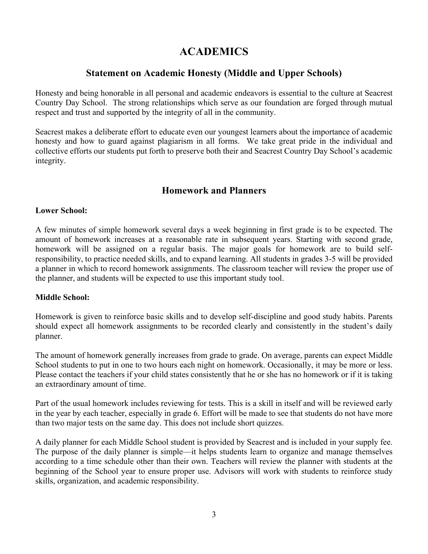# **ACADEMICS**

## **Statement on Academic Honesty (Middle and Upper Schools)**

Honesty and being honorable in all personal and academic endeavors is essential to the culture at Seacrest Country Day School. The strong relationships which serve as our foundation are forged through mutual respect and trust and supported by the integrity of all in the community.

Seacrest makes a deliberate effort to educate even our youngest learners about the importance of academic honesty and how to guard against plagiarism in all forms. We take great pride in the individual and collective efforts our students put forth to preserve both their and Seacrest Country Day School's academic integrity.

## **Homework and Planners**

#### **Lower School:**

A few minutes of simple homework several days a week beginning in first grade is to be expected. The amount of homework increases at a reasonable rate in subsequent years. Starting with second grade, homework will be assigned on a regular basis. The major goals for homework are to build selfresponsibility, to practice needed skills, and to expand learning. All students in grades 3-5 will be provided a planner in which to record homework assignments. The classroom teacher will review the proper use of the planner, and students will be expected to use this important study tool.

#### **Middle School:**

Homework is given to reinforce basic skills and to develop self-discipline and good study habits. Parents should expect all homework assignments to be recorded clearly and consistently in the student's daily planner.

The amount of homework generally increases from grade to grade. On average, parents can expect Middle School students to put in one to two hours each night on homework. Occasionally, it may be more or less. Please contact the teachers if your child states consistently that he or she has no homework or if it is taking an extraordinary amount of time.

Part of the usual homework includes reviewing for tests. This is a skill in itself and will be reviewed early in the year by each teacher, especially in grade 6. Effort will be made to see that students do not have more than two major tests on the same day. This does not include short quizzes.

A daily planner for each Middle School student is provided by Seacrest and is included in your supply fee. The purpose of the daily planner is simple—it helps students learn to organize and manage themselves according to a time schedule other than their own. Teachers will review the planner with students at the beginning of the School year to ensure proper use. Advisors will work with students to reinforce study skills, organization, and academic responsibility.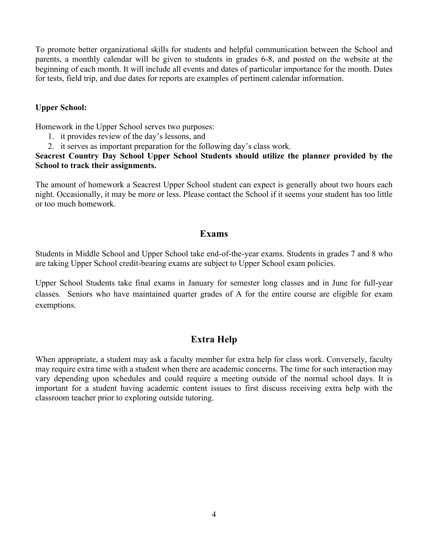To promote better organizational skills for students and helpful communication between the School and parents, a monthly calendar will be given to students in grades 6-8, and posted on the website at the beginning of each month. It will include all events and dates of particular importance for the month. Dates for tests, field trip, and due dates for reports are examples of pertinent calendar information.

#### **Upper School:**

Homework in the Upper School serves two purposes:

- 1. it provides review of the day's lessons, and
- 2. it serves as important preparation for the following day's class work.

#### **Seacrest Country Day School Upper School Students should utilize the planner provided by the School to track their assignments.**

The amount of homework a Seacrest Upper School student can expect is generally about two hours each night. Occasionally, it may be more or less. Please contact the School if it seems your student has too little or too much homework.

## **Exams**

Students in Middle School and Upper School take end-of-the-year exams. Students in grades 7 and 8 who are taking Upper School credit-bearing exams are subject to Upper School exam policies.

Upper School Students take final exams in January for semester long classes and in June for full-year classes. Seniors who have maintained quarter grades of A for the entire course are eligible for exam exemptions.

## **Extra Help**

When appropriate, a student may ask a faculty member for extra help for class work. Conversely, faculty may require extra time with a student when there are academic concerns. The time for such interaction may vary depending upon schedules and could require a meeting outside of the normal school days. It is important for a student having academic content issues to first discuss receiving extra help with the classroom teacher prior to exploring outside tutoring.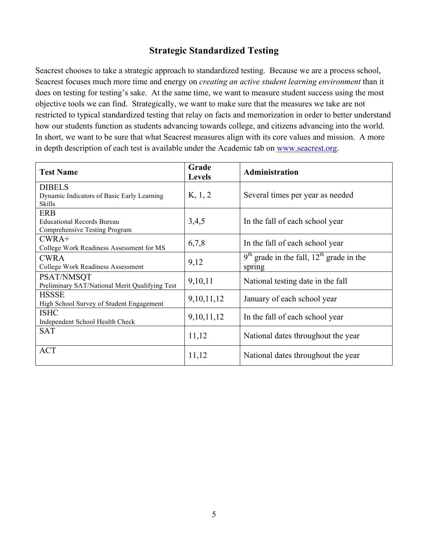## **Strategic Standardized Testing**

Seacrest chooses to take a strategic approach to standardized testing. Because we are a process school, Seacrest focuses much more time and energy on *creating an active student learning environment* than it does on testing for testing's sake. At the same time, we want to measure student success using the most objective tools we can find. Strategically, we want to make sure that the measures we take are not restricted to typical standardized testing that relay on facts and memorization in order to better understand how our students function as students advancing towards college, and citizens advancing into the world. In short, we want to be sure that what Seacrest measures align with its core values and mission. A more in depth description of each test is available under the Academic tab on www.seacrest.org.

| <b>Test Name</b>                               | Grade         | Administration                               |
|------------------------------------------------|---------------|----------------------------------------------|
|                                                | <b>Levels</b> |                                              |
| <b>DIBELS</b>                                  |               |                                              |
| Dynamic Indicators of Basic Early Learning     | K, 1, 2       | Several times per year as needed             |
| Skills                                         |               |                                              |
| <b>ERB</b>                                     |               |                                              |
| <b>Educational Records Bureau</b>              | 3,4,5         | In the fall of each school year              |
| Comprehensive Testing Program                  |               |                                              |
| $CWRA+$                                        | 6,7,8         | In the fall of each school year              |
| College Work Readiness Assessment for MS       |               |                                              |
| <b>CWRA</b>                                    | 9,12          | $9th$ grade in the fall, $12th$ grade in the |
| College Work Readiness Assessment              |               | spring                                       |
| PSAT/NMSQT                                     | 9,10,11       | National testing date in the fall            |
| Preliminary SAT/National Merit Qualifying Test |               |                                              |
| <b>HSSSE</b>                                   | 9, 10, 11, 12 | January of each school year                  |
| High School Survey of Student Engagement       |               |                                              |
| <b>ISHC</b>                                    | 9, 10, 11, 12 | In the fall of each school year              |
| Independent School Health Check                |               |                                              |
| <b>SAT</b>                                     | 11,12         | National dates throughout the year           |
|                                                |               |                                              |
| <b>ACT</b>                                     |               |                                              |
|                                                | 11,12         | National dates throughout the year           |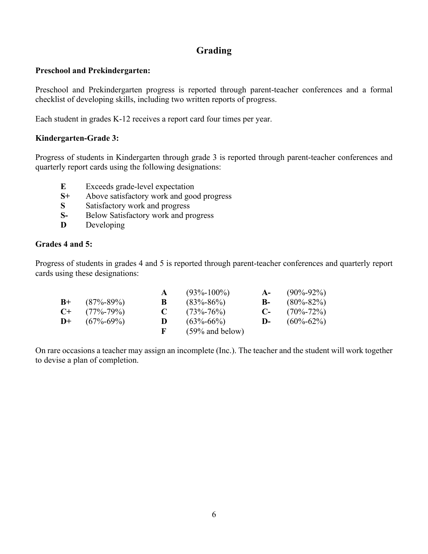## **Grading**

#### **Preschool and Prekindergarten:**

Preschool and Prekindergarten progress is reported through parent-teacher conferences and a formal checklist of developing skills, including two written reports of progress.

Each student in grades K-12 receives a report card four times per year.

## **Kindergarten-Grade 3:**

Progress of students in Kindergarten through grade 3 is reported through parent-teacher conferences and quarterly report cards using the following designations:

- **E** Exceeds grade-level expectation
- **S+** Above satisfactory work and good progress
- **S** Satisfactory work and progress
- **S-** Below Satisfactory work and progress
- **D** Developing

## **Grades 4 and 5:**

Progress of students in grades 4 and 5 is reported through parent-teacher conferences and quarterly report cards using these designations:

|      |                 |              | $(93\% - 100\%)$   | $A-$       | $(90\% - 92\%)$ |
|------|-----------------|--------------|--------------------|------------|-----------------|
| $B+$ | $(87\% - 89\%)$ | $\bf{B}$     | $(83\% - 86\%)$    | B- 1       | $(80\% - 82\%)$ |
| $C+$ | $(77\% - 79\%)$ | $\mathbf{C}$ | $(73\% - 76\%)$    | $C_{\tau}$ | $(70\% - 72\%)$ |
| $D+$ | $(67\% - 69\%)$ | D.           | $(63\% - 66\%)$    | $D-$       | $(60\% - 62\%)$ |
|      |                 | $\mathbf{F}$ | $(59\%$ and below) |            |                 |

On rare occasions a teacher may assign an incomplete (Inc.). The teacher and the student will work together to devise a plan of completion.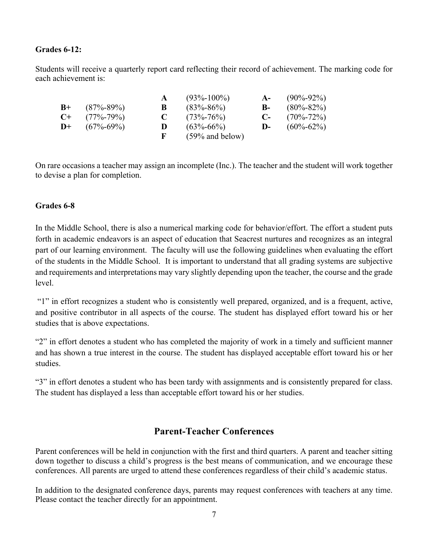#### **Grades 6-12:**

Students will receive a quarterly report card reflecting their record of achievement. The marking code for each achievement is:

|               |                 |           | $(93\% - 100\%)$   | $A-$       | $(90\% - 92\%)$ |
|---------------|-----------------|-----------|--------------------|------------|-----------------|
| $B+$          | $(87\% - 89\%)$ | B         | $(83\% - 86\%)$    | B-         | $(80\% - 82\%)$ |
| $C_{\pm}$     | $(77\% - 79\%)$ | $\bullet$ | $(73\% - 76\%)$    | $C_{\tau}$ | $(70\% - 72\%)$ |
| $\mathbf{D}+$ | $(67\% - 69\%)$ | D         | $(63\% - 66\%)$    | $D-$       | $(60\% - 62\%)$ |
|               |                 | F.        | $(59\%$ and below) |            |                 |

On rare occasions a teacher may assign an incomplete (Inc.). The teacher and the student will work together to devise a plan for completion.

#### **Grades 6-8**

In the Middle School, there is also a numerical marking code for behavior/effort. The effort a student puts forth in academic endeavors is an aspect of education that Seacrest nurtures and recognizes as an integral part of our learning environment. The faculty will use the following guidelines when evaluating the effort of the students in the Middle School. It is important to understand that all grading systems are subjective and requirements and interpretations may vary slightly depending upon the teacher, the course and the grade level.

"1" in effort recognizes a student who is consistently well prepared, organized, and is a frequent, active, and positive contributor in all aspects of the course. The student has displayed effort toward his or her studies that is above expectations.

"2" in effort denotes a student who has completed the majority of work in a timely and sufficient manner and has shown a true interest in the course. The student has displayed acceptable effort toward his or her studies.

"3" in effort denotes a student who has been tardy with assignments and is consistently prepared for class. The student has displayed a less than acceptable effort toward his or her studies.

## **Parent-Teacher Conferences**

Parent conferences will be held in conjunction with the first and third quarters. A parent and teacher sitting down together to discuss a child's progress is the best means of communication, and we encourage these conferences. All parents are urged to attend these conferences regardless of their child's academic status.

In addition to the designated conference days, parents may request conferences with teachers at any time. Please contact the teacher directly for an appointment.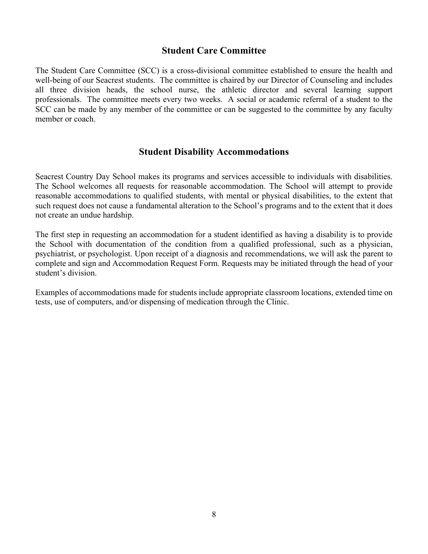## **Student Care Committee**

The Student Care Committee (SCC) is a cross-divisional committee established to ensure the health and well-being of our Seacrest students. The committee is chaired by our Director of Counseling and includes all three division heads, the school nurse, the athletic director and several learning support professionals. The committee meets every two weeks. A social or academic referral of a student to the SCC can be made by any member of the committee or can be suggested to the committee by any faculty member or coach.

## **Student Disability Accommodations**

Seacrest Country Day School makes its programs and services accessible to individuals with disabilities. The School welcomes all requests for reasonable accommodation. The School will attempt to provide reasonable accommodations to qualified students, with mental or physical disabilities, to the extent that such request does not cause a fundamental alteration to the School's programs and to the extent that it does not create an undue hardship.

The first step in requesting an accommodation for a student identified as having a disability is to provide the School with documentation of the condition from a qualified professional, such as a physician, psychiatrist, or psychologist. Upon receipt of a diagnosis and recommendations, we will ask the parent to complete and sign and Accommodation Request Form. Requests may be initiated through the head of your student's division.

Examples of accommodations made for students include appropriate classroom locations, extended time on tests, use of computers, and/or dispensing of medication through the Clinic.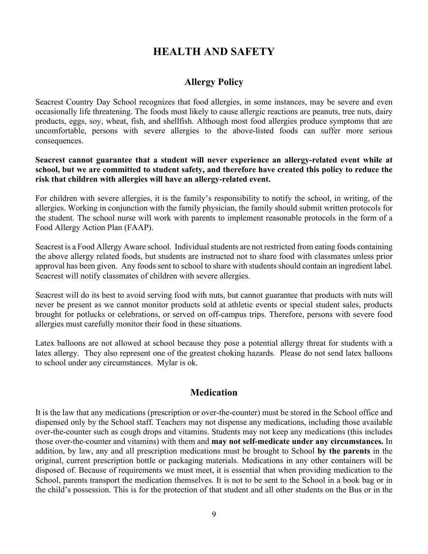# **HEALTH AND SAFETY**

## **Allergy Policy**

Seacrest Country Day School recognizes that food allergies, in some instances, may be severe and even occasionally life threatening. The foods most likely to cause allergic reactions are peanuts, tree nuts, dairy products, eggs, soy, wheat, fish, and shellfish. Although most food allergies produce symptoms that are uncomfortable, persons with severe allergies to the above-listed foods can suffer more serious consequences.

**Seacrest cannot guarantee that a student will never experience an allergy-related event while at school, but we are committed to student safety, and therefore have created this policy to reduce the risk that children with allergies will have an allergy-related event.**

For children with severe allergies, it is the family's responsibility to notify the school, in writing, of the allergies. Working in conjunction with the family physician, the family should submit written protocols for the student. The school nurse will work with parents to implement reasonable protocols in the form of a Food Allergy Action Plan (FAAP).

Seacrest is a Food Allergy Aware school. Individual students are not restricted from eating foods containing the above allergy related foods, but students are instructed not to share food with classmates unless prior approval has been given. Any foods sent to school to share with students should contain an ingredient label. Seacrest will notify classmates of children with severe allergies.

Seacrest will do its best to avoid serving food with nuts, but cannot guarantee that products with nuts will never be present as we cannot monitor products sold at athletic events or special student sales, products brought for potlucks or celebrations, or served on off-campus trips. Therefore, persons with severe food allergies must carefully monitor their food in these situations.

Latex balloons are not allowed at school because they pose a potential allergy threat for students with a latex allergy. They also represent one of the greatest choking hazards. Please do not send latex balloons to school under any circumstances. Mylar is ok.

## **Medication**

It is the law that any medications (prescription or over-the-counter) must be stored in the School office and dispensed only by the School staff. Teachers may not dispense any medications, including those available over-the-counter such as cough drops and vitamins. Students may not keep any medications (this includes those over-the-counter and vitamins) with them and **may not self-medicate under any circumstances.** In addition, by law, any and all prescription medications must be brought to School **by the parents** in the original, current prescription bottle or packaging materials. Medications in any other containers will be disposed of. Because of requirements we must meet, it is essential that when providing medication to the School, parents transport the medication themselves. It is not to be sent to the School in a book bag or in the child's possession. This is for the protection of that student and all other students on the Bus or in the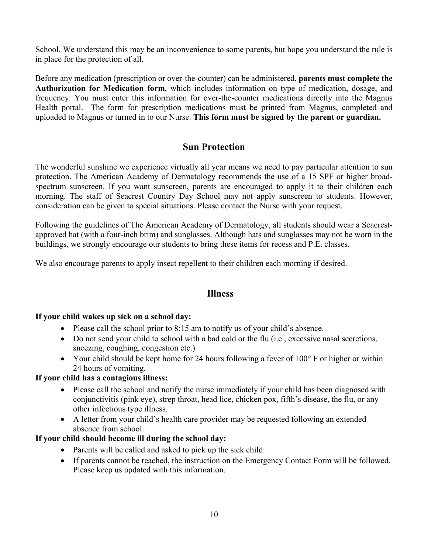School. We understand this may be an inconvenience to some parents, but hope you understand the rule is in place for the protection of all.

Before any medication (prescription or over-the-counter) can be administered, **parents must complete the Authorization for Medication form**, which includes information on type of medication, dosage, and frequency. You must enter this information for over-the-counter medications directly into the Magnus Health portal. The form for prescription medications must be printed from Magnus, completed and uploaded to Magnus or turned in to our Nurse. **This form must be signed by the parent or guardian.**

## **Sun Protection**

The wonderful sunshine we experience virtually all year means we need to pay particular attention to sun protection. The American Academy of Dermatology recommends the use of a 15 SPF or higher broadspectrum sunscreen. If you want sunscreen, parents are encouraged to apply it to their children each morning. The staff of Seacrest Country Day School may not apply sunscreen to students. However, consideration can be given to special situations. Please contact the Nurse with your request.

Following the guidelines of The American Academy of Dermatology, all students should wear a Seacrestapproved hat (with a four-inch brim) and sunglasses. Although hats and sunglasses may not be worn in the buildings, we strongly encourage our students to bring these items for recess and P.E. classes.

We also encourage parents to apply insect repellent to their children each morning if desired.

## **Illness**

#### **If your child wakes up sick on a school day:**

- Please call the school prior to 8:15 am to notify us of your child's absence.
- Do not send your child to school with a bad cold or the flu (i.e., excessive nasal secretions, sneezing, coughing, congestion etc.)
- Your child should be kept home for 24 hours following a fever of 100° F or higher or within 24 hours of vomiting.

#### **If your child has a contagious illness:**

- Please call the school and notify the nurse immediately if your child has been diagnosed with conjunctivitis (pink eye), strep throat, head lice, chicken pox, fifth's disease, the flu, or any other infectious type illness.
- A letter from your child's health care provider may be requested following an extended absence from school.

#### **If your child should become ill during the school day:**

- Parents will be called and asked to pick up the sick child.
- If parents cannot be reached, the instruction on the Emergency Contact Form will be followed. Please keep us updated with this information.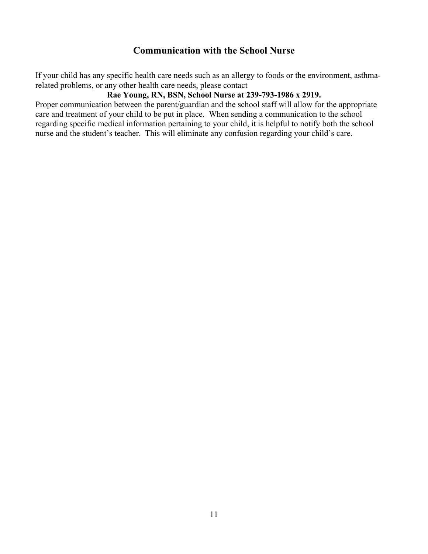## **Communication with the School Nurse**

If your child has any specific health care needs such as an allergy to foods or the environment, asthmarelated problems, or any other health care needs, please contact

## **Rae Young, RN, BSN, School Nurse at 239-793-1986 x 2919.**

Proper communication between the parent/guardian and the school staff will allow for the appropriate care and treatment of your child to be put in place. When sending a communication to the school regarding specific medical information pertaining to your child, it is helpful to notify both the school nurse and the student's teacher. This will eliminate any confusion regarding your child's care.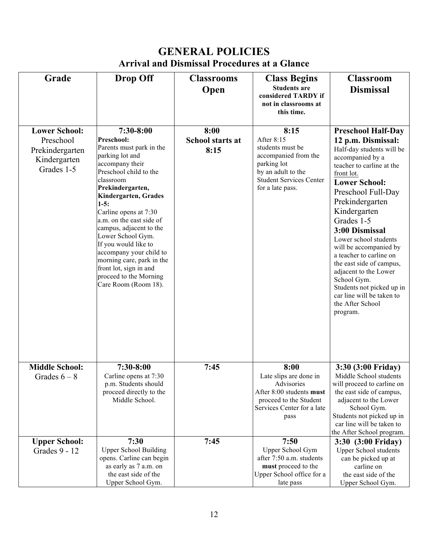# **GENERAL POLICIES Arrival and Dismissal Procedures at a Glance**

| Grade                                                      | <b>Drop Off</b>                                                                                                                                                                                                                                                                                                                                                                                                                            | <b>Classrooms</b>               | <b>Class Begins</b>                                                                                                                               | <b>Classroom</b>                                                                                                                                                                                                                                                                                                                                                                                                                                                            |
|------------------------------------------------------------|--------------------------------------------------------------------------------------------------------------------------------------------------------------------------------------------------------------------------------------------------------------------------------------------------------------------------------------------------------------------------------------------------------------------------------------------|---------------------------------|---------------------------------------------------------------------------------------------------------------------------------------------------|-----------------------------------------------------------------------------------------------------------------------------------------------------------------------------------------------------------------------------------------------------------------------------------------------------------------------------------------------------------------------------------------------------------------------------------------------------------------------------|
|                                                            |                                                                                                                                                                                                                                                                                                                                                                                                                                            | Open                            | <b>Students are</b><br>considered TARDY if<br>not in classrooms at<br>this time.                                                                  | <b>Dismissal</b>                                                                                                                                                                                                                                                                                                                                                                                                                                                            |
| <b>Lower School:</b>                                       | $7:30-8:00$                                                                                                                                                                                                                                                                                                                                                                                                                                | 8:00                            | 8:15                                                                                                                                              | <b>Preschool Half-Day</b>                                                                                                                                                                                                                                                                                                                                                                                                                                                   |
| Preschool<br>Prekindergarten<br>Kindergarten<br>Grades 1-5 | Preschool:<br>Parents must park in the<br>parking lot and<br>accompany their<br>Preschool child to the<br>classroom<br>Prekindergarten,<br>Kindergarten, Grades<br>$1-5:$<br>Carline opens at 7:30<br>a.m. on the east side of<br>campus, adjacent to the<br>Lower School Gym.<br>If you would like to<br>accompany your child to<br>morning care, park in the<br>front lot, sign in and<br>proceed to the Morning<br>Care Room (Room 18). | <b>School starts at</b><br>8:15 | After 8:15<br>students must be<br>accompanied from the<br>parking lot<br>by an adult to the<br><b>Student Services Center</b><br>for a late pass. | 12 p.m. Dismissal:<br>Half-day students will be<br>accompanied by a<br>teacher to carline at the<br>front lot.<br><b>Lower School:</b><br>Preschool Full-Day<br>Prekindergarten<br>Kindergarten<br>Grades 1-5<br>3:00 Dismissal<br>Lower school students<br>will be accompanied by<br>a teacher to carline on<br>the east side of campus,<br>adjacent to the Lower<br>School Gym.<br>Students not picked up in<br>car line will be taken to<br>the After School<br>program. |
| <b>Middle School:</b>                                      | $7:30-8:00$                                                                                                                                                                                                                                                                                                                                                                                                                                | 7:45                            | 8:00                                                                                                                                              | 3:30 (3:00 Friday)                                                                                                                                                                                                                                                                                                                                                                                                                                                          |
| Grades $6 - 8$                                             | Carline opens at 7:30<br>p.m. Students should<br>proceed directly to the<br>Middle School.                                                                                                                                                                                                                                                                                                                                                 |                                 | Late slips are done in<br>Advisories<br>After 8:00 students must<br>proceed to the Student<br>Services Center for a late<br>pass                  | Middle School students<br>will proceed to carline on<br>the east side of campus,<br>adjacent to the Lower<br>School Gym.<br>Students not picked up in<br>car line will be taken to<br>the After School program.                                                                                                                                                                                                                                                             |
| <b>Upper School:</b>                                       | 7:30                                                                                                                                                                                                                                                                                                                                                                                                                                       | 7:45                            | 7:50                                                                                                                                              | 3:30 (3:00 Friday)                                                                                                                                                                                                                                                                                                                                                                                                                                                          |
| Grades 9 - 12                                              | <b>Upper School Building</b>                                                                                                                                                                                                                                                                                                                                                                                                               |                                 | Upper School Gym                                                                                                                                  | <b>Upper School students</b>                                                                                                                                                                                                                                                                                                                                                                                                                                                |
|                                                            | opens. Carline can begin<br>as early as 7 a.m. on                                                                                                                                                                                                                                                                                                                                                                                          |                                 | after 7:50 a.m. students<br>must proceed to the                                                                                                   | can be picked up at<br>carline on                                                                                                                                                                                                                                                                                                                                                                                                                                           |
|                                                            | the east side of the                                                                                                                                                                                                                                                                                                                                                                                                                       |                                 | Upper School office for a                                                                                                                         | the east side of the                                                                                                                                                                                                                                                                                                                                                                                                                                                        |
|                                                            | Upper School Gym.                                                                                                                                                                                                                                                                                                                                                                                                                          |                                 | late pass                                                                                                                                         | Upper School Gym.                                                                                                                                                                                                                                                                                                                                                                                                                                                           |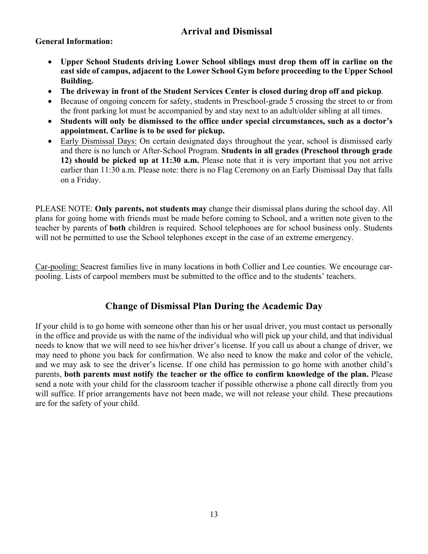## **Arrival and Dismissal**

## **General Information:**

- **Upper School Students driving Lower School siblings must drop them off in carline on the east side of campus, adjacent to the Lower School Gym before proceeding to the Upper School Building.**
- **The driveway in front of the Student Services Center is closed during drop off and pickup**.
- Because of ongoing concern for safety, students in Preschool-grade 5 crossing the street to or from the front parking lot must be accompanied by and stay next to an adult/older sibling at all times.
- **Students will only be dismissed to the office under special circumstances, such as a doctor's appointment. Carline is to be used for pickup.**
- Early Dismissal Days: On certain designated days throughout the year, school is dismissed early and there is no lunch or After-School Program. **Students in all grades (Preschool through grade 12) should be picked up at 11:30 a.m.** Please note that it is very important that you not arrive earlier than 11:30 a.m. Please note: there is no Flag Ceremony on an Early Dismissal Day that falls on a Friday.

PLEASE NOTE: **Only parents, not students may** change their dismissal plans during the school day. All plans for going home with friends must be made before coming to School, and a written note given to the teacher by parents of **both** children is required. School telephones are for school business only. Students will not be permitted to use the School telephones except in the case of an extreme emergency.

Car-pooling: Seacrest families live in many locations in both Collier and Lee counties. We encourage carpooling. Lists of carpool members must be submitted to the office and to the students' teachers.

## **Change of Dismissal Plan During the Academic Day**

If your child is to go home with someone other than his or her usual driver, you must contact us personally in the office and provide us with the name of the individual who will pick up your child, and that individual needs to know that we will need to see his/her driver's license. If you call us about a change of driver, we may need to phone you back for confirmation. We also need to know the make and color of the vehicle, and we may ask to see the driver's license. If one child has permission to go home with another child's parents, **both parents must notify the teacher or the office to confirm knowledge of the plan.** Please send a note with your child for the classroom teacher if possible otherwise a phone call directly from you will suffice. If prior arrangements have not been made, we will not release your child. These precautions are for the safety of your child.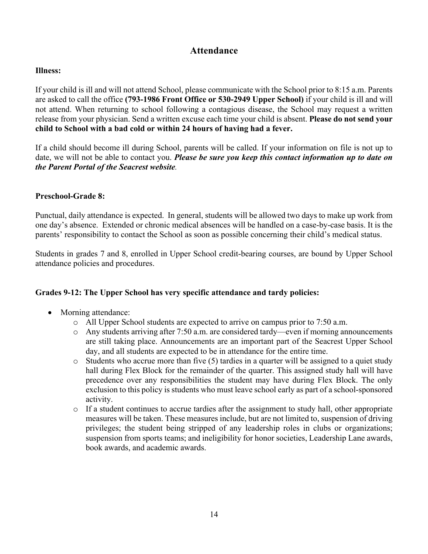## **Attendance**

#### **Illness:**

If your child is ill and will not attend School, please communicate with the School prior to 8:15 a.m. Parents are asked to call the office **(793-1986 Front Office or 530-2949 Upper School)** if your child is ill and will not attend. When returning to school following a contagious disease, the School may request a written release from your physician. Send a written excuse each time your child is absent. **Please do not send your child to School with a bad cold or within 24 hours of having had a fever.**

If a child should become ill during School, parents will be called. If your information on file is not up to date, we will not be able to contact you. *Please be sure you keep this contact information up to date on the Parent Portal of the Seacrest website.*

#### **Preschool-Grade 8:**

Punctual, daily attendance is expected. In general, students will be allowed two days to make up work from one day's absence. Extended or chronic medical absences will be handled on a case-by-case basis. It is the parents' responsibility to contact the School as soon as possible concerning their child's medical status.

Students in grades 7 and 8, enrolled in Upper School credit-bearing courses, are bound by Upper School attendance policies and procedures.

#### **Grades 9-12: The Upper School has very specific attendance and tardy policies:**

- Morning attendance:
	- o All Upper School students are expected to arrive on campus prior to 7:50 a.m.
	- o Any students arriving after 7:50 a.m. are considered tardy—even if morning announcements are still taking place. Announcements are an important part of the Seacrest Upper School day, and all students are expected to be in attendance for the entire time.
	- $\circ$  Students who accrue more than five (5) tardies in a quarter will be assigned to a quiet study hall during Flex Block for the remainder of the quarter. This assigned study hall will have precedence over any responsibilities the student may have during Flex Block. The only exclusion to this policy is students who must leave school early as part of a school-sponsored activity.
	- $\circ$  If a student continues to accrue tardies after the assignment to study hall, other appropriate measures will be taken. These measures include, but are not limited to, suspension of driving privileges; the student being stripped of any leadership roles in clubs or organizations; suspension from sports teams; and ineligibility for honor societies, Leadership Lane awards, book awards, and academic awards.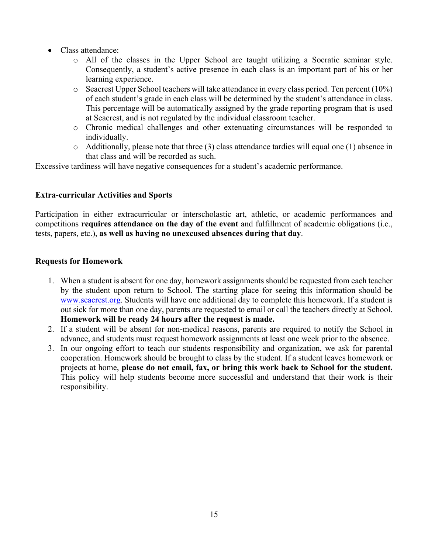- Class attendance:
	- o All of the classes in the Upper School are taught utilizing a Socratic seminar style. Consequently, a student's active presence in each class is an important part of his or her learning experience.
	- o Seacrest Upper School teachers will take attendance in every class period. Ten percent (10%) of each student's grade in each class will be determined by the student's attendance in class. This percentage will be automatically assigned by the grade reporting program that is used at Seacrest, and is not regulated by the individual classroom teacher.
	- o Chronic medical challenges and other extenuating circumstances will be responded to individually.
	- o Additionally, please note that three (3) class attendance tardies will equal one (1) absence in that class and will be recorded as such.

Excessive tardiness will have negative consequences for a student's academic performance.

#### **Extra-curricular Activities and Sports**

Participation in either extracurricular or interscholastic art, athletic, or academic performances and competitions **requires attendance on the day of the event** and fulfillment of academic obligations (i.e., tests, papers, etc.), **as well as having no unexcused absences during that day**.

#### **Requests for Homework**

- 1. When a student is absent for one day, homework assignments should be requested from each teacher by the student upon return to School. The starting place for seeing this information should be www.seacrest.org. Students will have one additional day to complete this homework. If a student is out sick for more than one day, parents are requested to email or call the teachers directly at School. **Homework will be ready 24 hours after the request is made.**
- 2. If a student will be absent for non-medical reasons, parents are required to notify the School in advance, and students must request homework assignments at least one week prior to the absence.
- 3. In our ongoing effort to teach our students responsibility and organization, we ask for parental cooperation. Homework should be brought to class by the student. If a student leaves homework or projects at home, **please do not email, fax, or bring this work back to School for the student.** This policy will help students become more successful and understand that their work is their responsibility.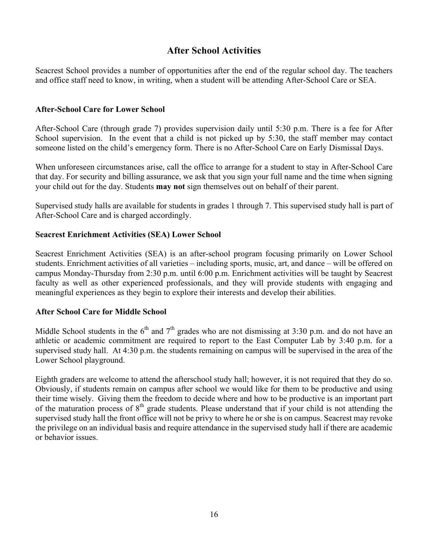## **After School Activities**

Seacrest School provides a number of opportunities after the end of the regular school day. The teachers and office staff need to know, in writing, when a student will be attending After-School Care or SEA.

#### **After-School Care for Lower School**

After-School Care (through grade 7) provides supervision daily until 5:30 p.m. There is a fee for After School supervision. In the event that a child is not picked up by 5:30, the staff member may contact someone listed on the child's emergency form. There is no After-School Care on Early Dismissal Days.

When unforeseen circumstances arise, call the office to arrange for a student to stay in After-School Care that day. For security and billing assurance, we ask that you sign your full name and the time when signing your child out for the day. Students **may not** sign themselves out on behalf of their parent.

Supervised study halls are available for students in grades 1 through 7. This supervised study hall is part of After-School Care and is charged accordingly.

#### **Seacrest Enrichment Activities (SEA) Lower School**

Seacrest Enrichment Activities (SEA) is an after-school program focusing primarily on Lower School students. Enrichment activities of all varieties – including sports, music, art, and dance – will be offered on campus Monday-Thursday from 2:30 p.m. until 6:00 p.m. Enrichment activities will be taught by Seacrest faculty as well as other experienced professionals, and they will provide students with engaging and meaningful experiences as they begin to explore their interests and develop their abilities.

#### **After School Care for Middle School**

Middle School students in the  $6<sup>th</sup>$  and  $7<sup>th</sup>$  grades who are not dismissing at 3:30 p.m. and do not have an athletic or academic commitment are required to report to the East Computer Lab by 3:40 p.m. for a supervised study hall. At 4:30 p.m. the students remaining on campus will be supervised in the area of the Lower School playground.

Eighth graders are welcome to attend the afterschool study hall; however, it is not required that they do so. Obviously, if students remain on campus after school we would like for them to be productive and using their time wisely. Giving them the freedom to decide where and how to be productive is an important part of the maturation process of  $8<sup>th</sup>$  grade students. Please understand that if your child is not attending the supervised study hall the front office will not be privy to where he or she is on campus. Seacrest may revoke the privilege on an individual basis and require attendance in the supervised study hall if there are academic or behavior issues.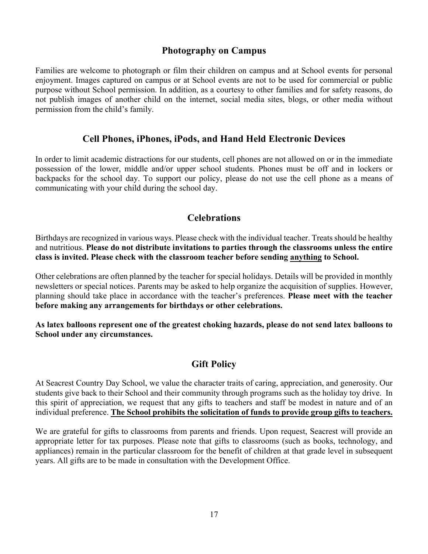## **Photography on Campus**

Families are welcome to photograph or film their children on campus and at School events for personal enjoyment. Images captured on campus or at School events are not to be used for commercial or public purpose without School permission. In addition, as a courtesy to other families and for safety reasons, do not publish images of another child on the internet, social media sites, blogs, or other media without permission from the child's family.

## **Cell Phones, iPhones, iPods, and Hand Held Electronic Devices**

In order to limit academic distractions for our students, cell phones are not allowed on or in the immediate possession of the lower, middle and/or upper school students. Phones must be off and in lockers or backpacks for the school day. To support our policy, please do not use the cell phone as a means of communicating with your child during the school day.

## **Celebrations**

Birthdays are recognized in various ways. Please check with the individual teacher. Treats should be healthy and nutritious. **Please do not distribute invitations to parties through the classrooms unless the entire class is invited. Please check with the classroom teacher before sending anything to School.**

Other celebrations are often planned by the teacher for special holidays. Details will be provided in monthly newsletters or special notices. Parents may be asked to help organize the acquisition of supplies. However, planning should take place in accordance with the teacher's preferences. **Please meet with the teacher before making any arrangements for birthdays or other celebrations.**

**As latex balloons represent one of the greatest choking hazards, please do not send latex balloons to School under any circumstances.**

## **Gift Policy**

At Seacrest Country Day School, we value the character traits of caring, appreciation, and generosity. Our students give back to their School and their community through programs such as the holiday toy drive. In this spirit of appreciation, we request that any gifts to teachers and staff be modest in nature and of an individual preference. **The School prohibits the solicitation of funds to provide group gifts to teachers.**

We are grateful for gifts to classrooms from parents and friends. Upon request, Seacrest will provide an appropriate letter for tax purposes. Please note that gifts to classrooms (such as books, technology, and appliances) remain in the particular classroom for the benefit of children at that grade level in subsequent years. All gifts are to be made in consultation with the Development Office.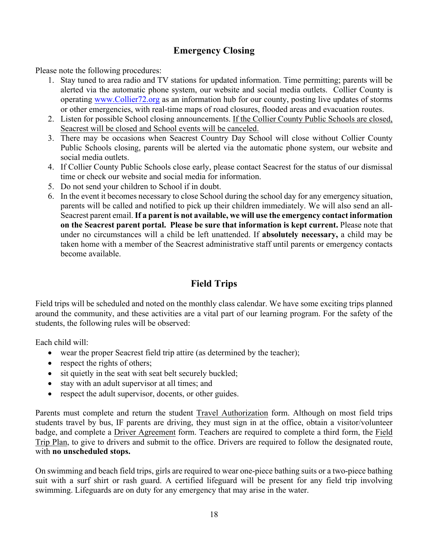## **Emergency Closing**

Please note the following procedures:

- 1. Stay tuned to area radio and TV stations for updated information. Time permitting; parents will be alerted via the automatic phone system, our website and social media outlets. Collier County is operating www.Collier72.org as an information hub for our county, posting live updates of storms or other emergencies, with real-time maps of road closures, flooded areas and evacuation routes.
- 2. Listen for possible School closing announcements. If the Collier County Public Schools are closed, Seacrest will be closed and School events will be canceled.
- 3. There may be occasions when Seacrest Country Day School will close without Collier County Public Schools closing, parents will be alerted via the automatic phone system, our website and social media outlets.
- 4. If Collier County Public Schools close early, please contact Seacrest for the status of our dismissal time or check our website and social media for information.
- 5. Do not send your children to School if in doubt.
- 6. In the event it becomes necessary to close School during the school day for any emergency situation, parents will be called and notified to pick up their children immediately. We will also send an all-Seacrest parent email. **If a parent is not available, we will use the emergency contact information on the Seacrest parent portal. Please be sure that information is kept current.** Please note that under no circumstances will a child be left unattended. If **absolutely necessary,** a child may be taken home with a member of the Seacrest administrative staff until parents or emergency contacts become available.

## **Field Trips**

Field trips will be scheduled and noted on the monthly class calendar. We have some exciting trips planned around the community, and these activities are a vital part of our learning program. For the safety of the students, the following rules will be observed:

Each child will:

- wear the proper Seacrest field trip attire (as determined by the teacher);
- respect the rights of others;
- sit quietly in the seat with seat belt securely buckled;
- stay with an adult supervisor at all times; and
- respect the adult supervisor, docents, or other guides.

Parents must complete and return the student Travel Authorization form. Although on most field trips students travel by bus, IF parents are driving, they must sign in at the office, obtain a visitor/volunteer badge, and complete a Driver Agreement form. Teachers are required to complete a third form, the Field Trip Plan, to give to drivers and submit to the office. Drivers are required to follow the designated route, with **no unscheduled stops.**

On swimming and beach field trips, girls are required to wear one-piece bathing suits or a two-piece bathing suit with a surf shirt or rash guard. A certified lifeguard will be present for any field trip involving swimming. Lifeguards are on duty for any emergency that may arise in the water.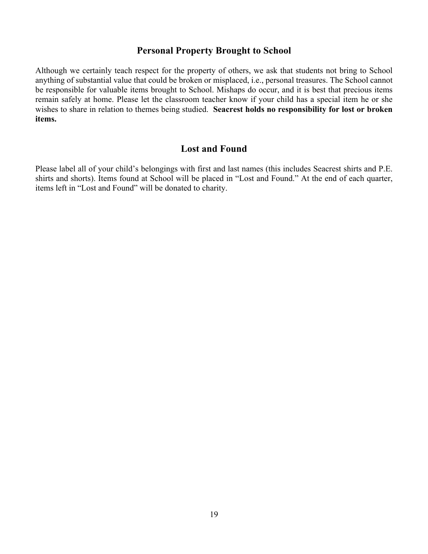## **Personal Property Brought to School**

Although we certainly teach respect for the property of others, we ask that students not bring to School anything of substantial value that could be broken or misplaced, i.e., personal treasures. The School cannot be responsible for valuable items brought to School. Mishaps do occur, and it is best that precious items remain safely at home. Please let the classroom teacher know if your child has a special item he or she wishes to share in relation to themes being studied. **Seacrest holds no responsibility for lost or broken items.**

## **Lost and Found**

Please label all of your child's belongings with first and last names (this includes Seacrest shirts and P.E. shirts and shorts). Items found at School will be placed in "Lost and Found." At the end of each quarter, items left in "Lost and Found" will be donated to charity.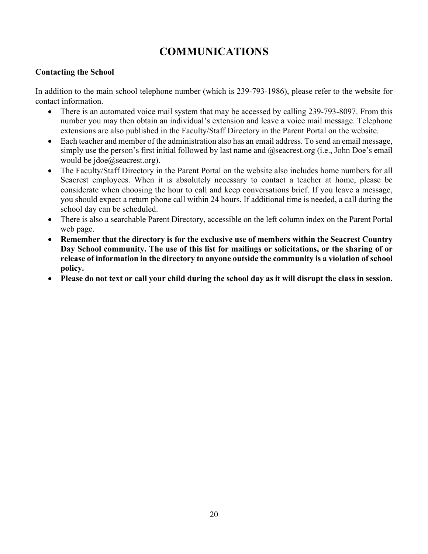# **COMMUNICATIONS**

#### **Contacting the School**

In addition to the main school telephone number (which is 239-793-1986), please refer to the website for contact information.

- There is an automated voice mail system that may be accessed by calling 239-793-8097. From this number you may then obtain an individual's extension and leave a voice mail message. Telephone extensions are also published in the Faculty/Staff Directory in the Parent Portal on the website.
- Each teacher and member of the administration also has an email address. To send an email message, simply use the person's first initial followed by last name and  $@$ seacrest.org (i.e., John Doe's email would be jdoe@seacrest.org).
- The Faculty/Staff Directory in the Parent Portal on the website also includes home numbers for all Seacrest employees. When it is absolutely necessary to contact a teacher at home, please be considerate when choosing the hour to call and keep conversations brief. If you leave a message, you should expect a return phone call within 24 hours. If additional time is needed, a call during the school day can be scheduled.
- There is also a searchable Parent Directory, accessible on the left column index on the Parent Portal web page.
- **Remember that the directory is for the exclusive use of members within the Seacrest Country Day School community. The use of this list for mailings or solicitations, or the sharing of or release of information in the directory to anyone outside the community is a violation of school policy.**
- **Please do not text or call your child during the school day as it will disrupt the class in session.**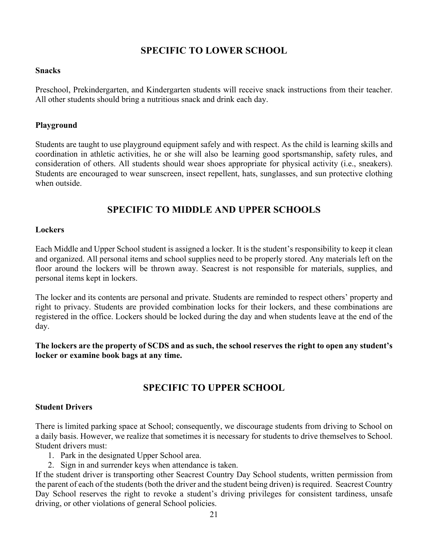## **SPECIFIC TO LOWER SCHOOL**

#### **Snacks**

Preschool, Prekindergarten, and Kindergarten students will receive snack instructions from their teacher. All other students should bring a nutritious snack and drink each day.

#### **Playground**

Students are taught to use playground equipment safely and with respect. As the child is learning skills and coordination in athletic activities, he or she will also be learning good sportsmanship, safety rules, and consideration of others. All students should wear shoes appropriate for physical activity (i.e., sneakers). Students are encouraged to wear sunscreen, insect repellent, hats, sunglasses, and sun protective clothing when outside.

## **SPECIFIC TO MIDDLE AND UPPER SCHOOLS**

#### **Lockers**

Each Middle and Upper School student is assigned a locker. It is the student's responsibility to keep it clean and organized. All personal items and school supplies need to be properly stored. Any materials left on the floor around the lockers will be thrown away. Seacrest is not responsible for materials, supplies, and personal items kept in lockers.

The locker and its contents are personal and private. Students are reminded to respect others' property and right to privacy. Students are provided combination locks for their lockers, and these combinations are registered in the office. Lockers should be locked during the day and when students leave at the end of the day.

**The lockers are the property of SCDS and as such, the school reserves the right to open any student's locker or examine book bags at any time.**

## **SPECIFIC TO UPPER SCHOOL**

#### **Student Drivers**

There is limited parking space at School; consequently, we discourage students from driving to School on a daily basis. However, we realize that sometimes it is necessary for students to drive themselves to School. Student drivers must:

- 1. Park in the designated Upper School area.
- 2. Sign in and surrender keys when attendance is taken.

If the student driver is transporting other Seacrest Country Day School students, written permission from the parent of each of the students (both the driver and the student being driven) is required. Seacrest Country Day School reserves the right to revoke a student's driving privileges for consistent tardiness, unsafe driving, or other violations of general School policies.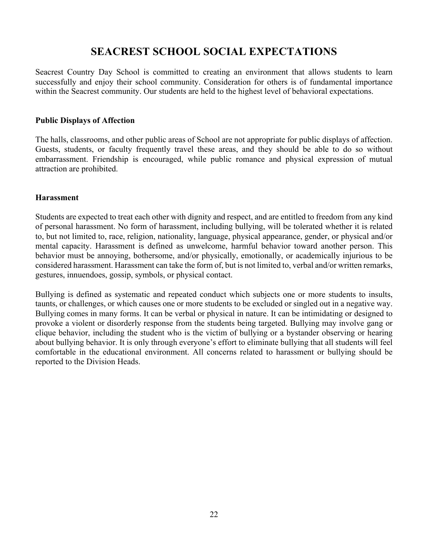# **SEACREST SCHOOL SOCIAL EXPECTATIONS**

Seacrest Country Day School is committed to creating an environment that allows students to learn successfully and enjoy their school community. Consideration for others is of fundamental importance within the Seacrest community. Our students are held to the highest level of behavioral expectations.

#### **Public Displays of Affection**

The halls, classrooms, and other public areas of School are not appropriate for public displays of affection. Guests, students, or faculty frequently travel these areas, and they should be able to do so without embarrassment. Friendship is encouraged, while public romance and physical expression of mutual attraction are prohibited.

#### **Harassment**

Students are expected to treat each other with dignity and respect, and are entitled to freedom from any kind of personal harassment. No form of harassment, including bullying, will be tolerated whether it is related to, but not limited to, race, religion, nationality, language, physical appearance, gender, or physical and/or mental capacity. Harassment is defined as unwelcome, harmful behavior toward another person. This behavior must be annoying, bothersome, and/or physically, emotionally, or academically injurious to be considered harassment. Harassment can take the form of, but is not limited to, verbal and/or written remarks, gestures, innuendoes, gossip, symbols, or physical contact.

Bullying is defined as systematic and repeated conduct which subjects one or more students to insults, taunts, or challenges, or which causes one or more students to be excluded or singled out in a negative way. Bullying comes in many forms. It can be verbal or physical in nature. It can be intimidating or designed to provoke a violent or disorderly response from the students being targeted. Bullying may involve gang or clique behavior, including the student who is the victim of bullying or a bystander observing or hearing about bullying behavior. It is only through everyone's effort to eliminate bullying that all students will feel comfortable in the educational environment. All concerns related to harassment or bullying should be reported to the Division Heads.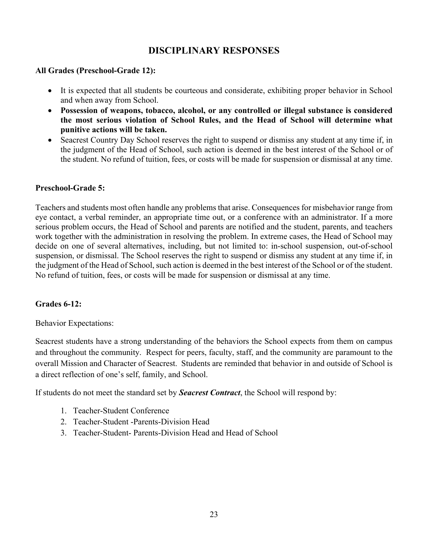## **DISCIPLINARY RESPONSES**

#### **All Grades (Preschool-Grade 12):**

- It is expected that all students be courteous and considerate, exhibiting proper behavior in School and when away from School.
- **Possession of weapons, tobacco, alcohol, or any controlled or illegal substance is considered the most serious violation of School Rules, and the Head of School will determine what punitive actions will be taken.**
- Seacrest Country Day School reserves the right to suspend or dismiss any student at any time if, in the judgment of the Head of School, such action is deemed in the best interest of the School or of the student. No refund of tuition, fees, or costs will be made for suspension or dismissal at any time.

#### **Preschool-Grade 5:**

Teachers and students most often handle any problems that arise. Consequences for misbehavior range from eye contact, a verbal reminder, an appropriate time out, or a conference with an administrator. If a more serious problem occurs, the Head of School and parents are notified and the student, parents, and teachers work together with the administration in resolving the problem. In extreme cases, the Head of School may decide on one of several alternatives, including, but not limited to: in-school suspension, out-of-school suspension, or dismissal. The School reserves the right to suspend or dismiss any student at any time if, in the judgment of the Head of School, such action is deemed in the best interest of the School or of the student. No refund of tuition, fees, or costs will be made for suspension or dismissal at any time.

#### **Grades 6-12:**

Behavior Expectations:

Seacrest students have a strong understanding of the behaviors the School expects from them on campus and throughout the community. Respect for peers, faculty, staff, and the community are paramount to the overall Mission and Character of Seacrest. Students are reminded that behavior in and outside of School is a direct reflection of one's self, family, and School.

If students do not meet the standard set by *Seacrest Contract*, the School will respond by:

- 1. Teacher-Student Conference
- 2. Teacher-Student -Parents-Division Head
- 3. Teacher-Student- Parents-Division Head and Head of School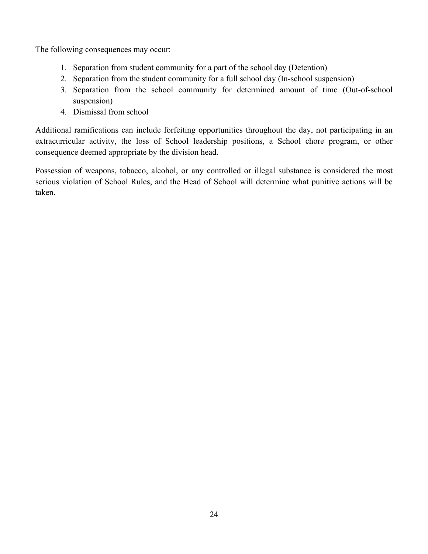The following consequences may occur:

- 1. Separation from student community for a part of the school day (Detention)
- 2. Separation from the student community for a full school day (In-school suspension)
- 3. Separation from the school community for determined amount of time (Out-of-school suspension)
- 4. Dismissal from school

Additional ramifications can include forfeiting opportunities throughout the day, not participating in an extracurricular activity, the loss of School leadership positions, a School chore program, or other consequence deemed appropriate by the division head.

Possession of weapons, tobacco, alcohol, or any controlled or illegal substance is considered the most serious violation of School Rules, and the Head of School will determine what punitive actions will be taken.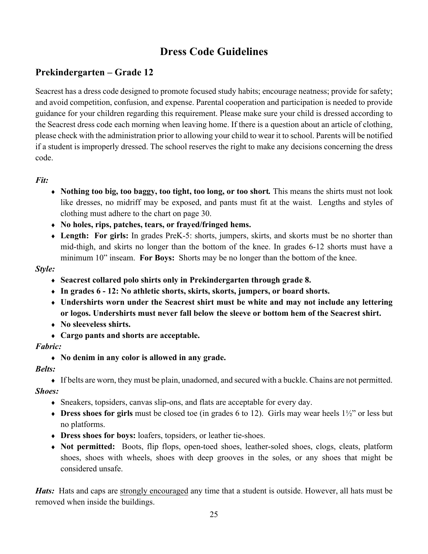# **Dress Code Guidelines**

# **Prekindergarten – Grade 12**

Seacrest has a dress code designed to promote focused study habits; encourage neatness; provide for safety; and avoid competition, confusion, and expense. Parental cooperation and participation is needed to provide guidance for your children regarding this requirement. Please make sure your child is dressed according to the Seacrest dress code each morning when leaving home. If there is a question about an article of clothing, please check with the administration prior to allowing your child to wear it to school. Parents will be notified if a student is improperly dressed. The school reserves the right to make any decisions concerning the dress code.

## *Fit:*

- Nothing too big, too baggy, too tight, too long, or too short. This means the shirts must not look like dresses, no midriff may be exposed, and pants must fit at the waist. Lengths and styles of clothing must adhere to the chart on page 30.
- ¨ **No holes, rips, patches, tears, or frayed/fringed hems.**
- Length: For girls: In grades PreK-5: shorts, jumpers, skirts, and skorts must be no shorter than mid-thigh, and skirts no longer than the bottom of the knee. In grades 6-12 shorts must have a minimum 10" inseam. **For Boys:** Shorts may be no longer than the bottom of the knee.

## *Style:*

- ¨ **Seacrest collared polo shirts only in Prekindergarten through grade 8.**
- ¨ **In grades 6 - 12: No athletic shorts, skirts, skorts, jumpers, or board shorts.**
- Undershirts worn under the Seacrest shirt must be white and may not include any lettering **or logos. Undershirts must never fall below the sleeve or bottom hem of the Seacrest shirt.**
- ¨ **No sleeveless shirts.**
- ¨ **Cargo pants and shorts are acceptable.**

## *Fabric:*

¨ **No denim in any color is allowed in any grade.**

## *Belts:*

- If belts are worn, they must be plain, unadorned, and secured with a buckle. Chains are not permitted. *Shoes:*
	- Sneakers, topsiders, canvas slip-ons, and flats are acceptable for every day.
	- $\bullet$  **Dress shoes for girls** must be closed toe (in grades 6 to 12). Girls may wear heels  $1\frac{1}{2}$ " or less but no platforms.
	- ◆ **Dress shoes for boys:** loafers, topsiders, or leather tie-shoes.
	- Not permitted: Boots, flip flops, open-toed shoes, leather-soled shoes, clogs, cleats, platform shoes, shoes with wheels, shoes with deep grooves in the soles, or any shoes that might be considered unsafe.

*Hats*: Hats and caps are strongly encouraged any time that a student is outside. However, all hats must be removed when inside the buildings.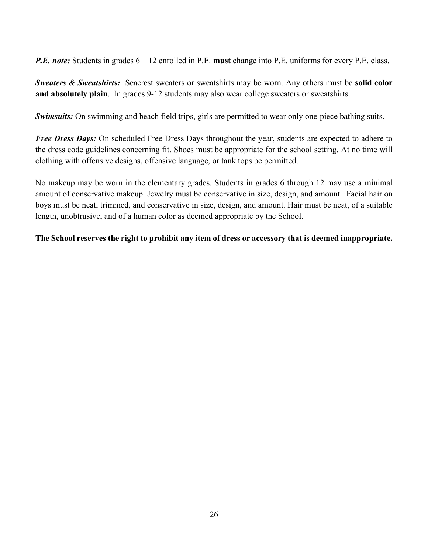*P.E. note:* Students in grades 6 – 12 enrolled in P.E. **must** change into P.E. uniforms for every P.E. class.

*Sweaters & Sweatshirts:* Seacrest sweaters or sweatshirts may be worn. Any others must be **solid color and absolutely plain**. In grades 9-12 students may also wear college sweaters or sweatshirts.

*Swimsuits:* On swimming and beach field trips, girls are permitted to wear only one-piece bathing suits.

*Free Dress Days:* On scheduled Free Dress Days throughout the year, students are expected to adhere to the dress code guidelines concerning fit. Shoes must be appropriate for the school setting. At no time will clothing with offensive designs, offensive language, or tank tops be permitted.

No makeup may be worn in the elementary grades. Students in grades 6 through 12 may use a minimal amount of conservative makeup. Jewelry must be conservative in size, design, and amount. Facial hair on boys must be neat, trimmed, and conservative in size, design, and amount. Hair must be neat, of a suitable length, unobtrusive, and of a human color as deemed appropriate by the School.

**The School reserves the right to prohibit any item of dress or accessory that is deemed inappropriate.**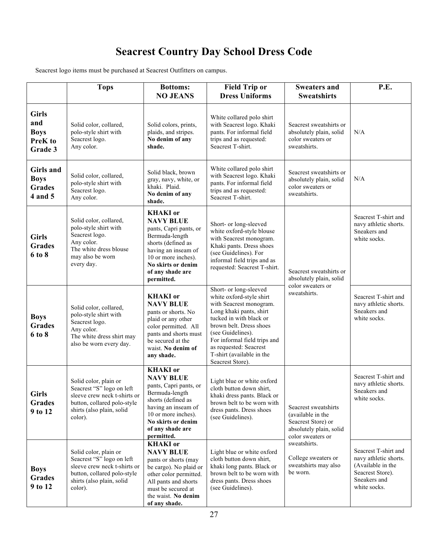# **Seacrest Country Day School Dress Code**

Seacrest logo items must be purchased at Seacrest Outfitters on campus.

|                                                          | <b>Tops</b>                                                                                                                                               | <b>Bottoms:</b><br><b>NO JEANS</b>                                                                                                                                                                          | <b>Field Trip or</b><br><b>Dress Uniforms</b>                                                                                                                                                                                                                                                  | <b>Sweaters and</b><br><b>Sweatshirts</b>                                                                                                                                                  | P.E.                                                                                                                   |
|----------------------------------------------------------|-----------------------------------------------------------------------------------------------------------------------------------------------------------|-------------------------------------------------------------------------------------------------------------------------------------------------------------------------------------------------------------|------------------------------------------------------------------------------------------------------------------------------------------------------------------------------------------------------------------------------------------------------------------------------------------------|--------------------------------------------------------------------------------------------------------------------------------------------------------------------------------------------|------------------------------------------------------------------------------------------------------------------------|
| <b>Girls</b><br>and<br><b>Boys</b><br>PreK to<br>Grade 3 | Solid color, collared,<br>polo-style shirt with<br>Seacrest logo.<br>Any color.                                                                           | Solid colors, prints,<br>plaids, and stripes.<br>No denim of any<br>shade.                                                                                                                                  | White collared polo shirt<br>with Seacrest logo. Khaki<br>pants. For informal field<br>trips and as requested:<br>Seacrest T-shirt.                                                                                                                                                            | Seacrest sweatshirts or<br>absolutely plain, solid<br>color sweaters or<br>sweatshirts.                                                                                                    | N/A                                                                                                                    |
| Girls and<br><b>Boys</b><br><b>Grades</b><br>4 and 5     | Solid color, collared,<br>polo-style shirt with<br>Seacrest logo.<br>Any color.                                                                           | Solid black, brown<br>gray, navy, white, or<br>khaki. Plaid.<br>No denim of any<br>shade.                                                                                                                   | White collared polo shirt<br>with Seacrest logo. Khaki<br>pants. For informal field<br>trips and as requested:<br>Seacrest T-shirt.                                                                                                                                                            | Seacrest sweatshirts or<br>absolutely plain, solid<br>color sweaters or<br>sweatshirts.                                                                                                    | N/A                                                                                                                    |
| <b>Girls</b><br><b>Grades</b><br>6 to 8                  | Solid color, collared,<br>polo-style shirt with<br>Seacrest logo.<br>Any color.<br>The white dress blouse<br>may also be worn<br>every day.               | <b>KHAKI</b> or<br><b>NAVY BLUE</b><br>pants, Capri pants, or<br>Bermuda-length<br>shorts (defined as<br>having an inseam of<br>10 or more inches).<br>No skirts or denim<br>of any shade are<br>permitted. | Short- or long-sleeved<br>white oxford-style blouse<br>with Seacrest monogram.<br>Khaki pants. Dress shoes<br>(see Guidelines). For<br>informal field trips and as<br>requested: Seacrest T-shirt.                                                                                             | Seacrest sweatshirts or<br>absolutely plain, solid                                                                                                                                         | Seacrest T-shirt and<br>navy athletic shorts.<br>Sneakers and<br>white socks.                                          |
| <b>Boys</b><br><b>Grades</b><br>6 to 8                   | Solid color, collared,<br>polo-style shirt with<br>Seacrest logo.<br>Any color.<br>The white dress shirt may<br>also be worn every day.                   | <b>KHAKI</b> or<br><b>NAVY BLUE</b><br>pants or shorts. No<br>plaid or any other<br>color permitted. All<br>pants and shorts must<br>be secured at the<br>waist. No denim of<br>any shade.                  | Short- or long-sleeved<br>white oxford-style shirt<br>with Seacrest monogram.<br>Long khaki pants, shirt<br>tucked in with black or<br>brown belt. Dress shoes<br>(see Guidelines).<br>For informal field trips and<br>as requested: Seacrest<br>T-shirt (available in the<br>Seacrest Store). | color sweaters or<br>sweatshirts.                                                                                                                                                          | Seacrest T-shirt and<br>navy athletic shorts.<br>Sneakers and<br>white socks.                                          |
| <b>Girls</b><br>Grades<br>9 to 12                        | Solid color, plain or<br>Seacrest "S" logo on left<br>sleeve crew neck t-shirts or<br>button, collared polo-style<br>shirts (also plain, solid<br>color). | <b>KHAKI</b> or<br><b>NAVY BLUE</b><br>pants, Capri pants, or<br>Bermuda-length<br>shorts (defined as<br>having an inseam of<br>10 or more inches).<br>No skirts or denim<br>of any shade are<br>permitted. | Light blue or white oxford<br>cloth button down shirt,<br>khaki dress pants. Black or<br>brown belt to be worn with<br>dress pants. Dress shoes<br>(see Guidelines).                                                                                                                           | Seacrest sweatshirts<br>(available in the<br>Seacrest Store) or<br>absolutely plain, solid<br>color sweaters or<br>sweatshirts.<br>College sweaters or<br>sweatshirts may also<br>be worn. | Seacrest T-shirt and<br>navy athletic shorts.<br>Sneakers and<br>white socks.                                          |
| <b>Boys</b><br>Grades<br>9 to 12                         | Solid color, plain or<br>Seacrest "S" logo on left<br>sleeve crew neck t-shirts or<br>button, collared polo-style<br>shirts (also plain, solid<br>color). | <b>KHAKI</b> or<br><b>NAVY BLUE</b><br>pants or shorts (may<br>be cargo). No plaid or<br>other color permitted.<br>All pants and shorts<br>must be secured at<br>the waist. No denim<br>of any shade.       | Light blue or white oxford<br>cloth button down shirt,<br>khaki long pants. Black or<br>brown belt to be worn with<br>dress pants. Dress shoes<br>(see Guidelines).                                                                                                                            |                                                                                                                                                                                            | Seacrest T-shirt and<br>navy athletic shorts.<br>(Available in the<br>Seacrest Store).<br>Sneakers and<br>white socks. |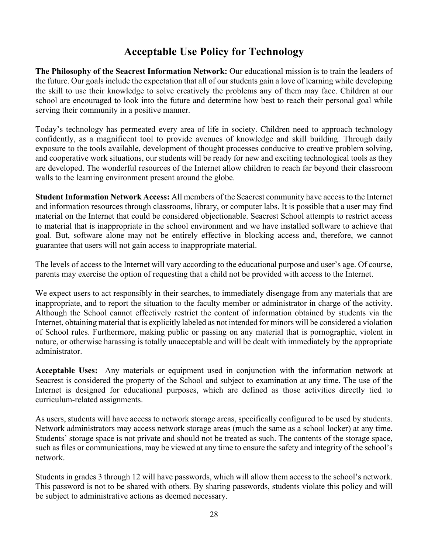# **Acceptable Use Policy for Technology**

**The Philosophy of the Seacrest Information Network:** Our educational mission is to train the leaders of the future. Our goals include the expectation that all of our students gain a love of learning while developing the skill to use their knowledge to solve creatively the problems any of them may face. Children at our school are encouraged to look into the future and determine how best to reach their personal goal while serving their community in a positive manner.

Today's technology has permeated every area of life in society. Children need to approach technology confidently, as a magnificent tool to provide avenues of knowledge and skill building. Through daily exposure to the tools available, development of thought processes conducive to creative problem solving, and cooperative work situations, our students will be ready for new and exciting technological tools as they are developed. The wonderful resources of the Internet allow children to reach far beyond their classroom walls to the learning environment present around the globe.

**Student Information Network Access:** All members of the Seacrest community have access to the Internet and information resources through classrooms, library, or computer labs. It is possible that a user may find material on the Internet that could be considered objectionable. Seacrest School attempts to restrict access to material that is inappropriate in the school environment and we have installed software to achieve that goal. But, software alone may not be entirely effective in blocking access and, therefore, we cannot guarantee that users will not gain access to inappropriate material.

The levels of access to the Internet will vary according to the educational purpose and user's age. Of course, parents may exercise the option of requesting that a child not be provided with access to the Internet.

We expect users to act responsibly in their searches, to immediately disengage from any materials that are inappropriate, and to report the situation to the faculty member or administrator in charge of the activity. Although the School cannot effectively restrict the content of information obtained by students via the Internet, obtaining material that is explicitly labeled as not intended for minors will be considered a violation of School rules. Furthermore, making public or passing on any material that is pornographic, violent in nature, or otherwise harassing is totally unacceptable and will be dealt with immediately by the appropriate administrator.

**Acceptable Uses:** Any materials or equipment used in conjunction with the information network at Seacrest is considered the property of the School and subject to examination at any time. The use of the Internet is designed for educational purposes, which are defined as those activities directly tied to curriculum-related assignments.

As users, students will have access to network storage areas, specifically configured to be used by students. Network administrators may access network storage areas (much the same as a school locker) at any time. Students' storage space is not private and should not be treated as such. The contents of the storage space, such as files or communications, may be viewed at any time to ensure the safety and integrity of the school's network.

Students in grades 3 through 12 will have passwords, which will allow them access to the school's network. This password is not to be shared with others. By sharing passwords, students violate this policy and will be subject to administrative actions as deemed necessary.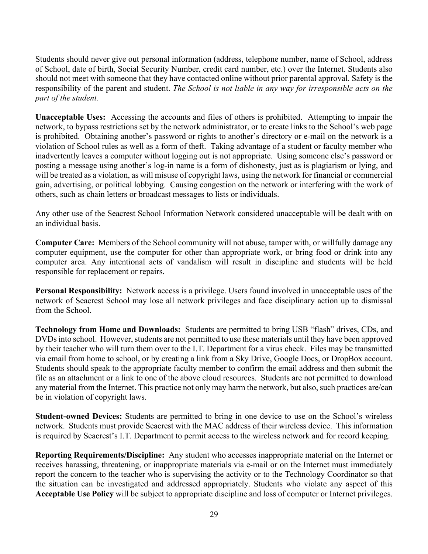Students should never give out personal information (address, telephone number, name of School, address of School, date of birth, Social Security Number, credit card number, etc.) over the Internet. Students also should not meet with someone that they have contacted online without prior parental approval. Safety is the responsibility of the parent and student. *The School is not liable in any way for irresponsible acts on the part of the student.*

**Unacceptable Uses:** Accessing the accounts and files of others is prohibited. Attempting to impair the network, to bypass restrictions set by the network administrator, or to create links to the School's web page is prohibited. Obtaining another's password or rights to another's directory or e-mail on the network is a violation of School rules as well as a form of theft. Taking advantage of a student or faculty member who inadvertently leaves a computer without logging out is not appropriate. Using someone else's password or posting a message using another's log-in name is a form of dishonesty, just as is plagiarism or lying, and will be treated as a violation, as will misuse of copyright laws, using the network for financial or commercial gain, advertising, or political lobbying. Causing congestion on the network or interfering with the work of others, such as chain letters or broadcast messages to lists or individuals.

Any other use of the Seacrest School Information Network considered unacceptable will be dealt with on an individual basis.

**Computer Care:** Members of the School community will not abuse, tamper with, or willfully damage any computer equipment, use the computer for other than appropriate work, or bring food or drink into any computer area. Any intentional acts of vandalism will result in discipline and students will be held responsible for replacement or repairs.

**Personal Responsibility:** Network access is a privilege. Users found involved in unacceptable uses of the network of Seacrest School may lose all network privileges and face disciplinary action up to dismissal from the School.

**Technology from Home and Downloads:** Students are permitted to bring USB "flash" drives, CDs, and DVDs into school. However, students are not permitted to use these materials until they have been approved by their teacher who will turn them over to the I.T. Department for a virus check. Files may be transmitted via email from home to school, or by creating a link from a Sky Drive, Google Docs, or DropBox account. Students should speak to the appropriate faculty member to confirm the email address and then submit the file as an attachment or a link to one of the above cloud resources. Students are not permitted to download any material from the Internet. This practice not only may harm the network, but also, such practices are/can be in violation of copyright laws.

**Student-owned Devices:** Students are permitted to bring in one device to use on the School's wireless network. Students must provide Seacrest with the MAC address of their wireless device. This information is required by Seacrest's I.T. Department to permit access to the wireless network and for record keeping.

**Reporting Requirements/Discipline:** Any student who accesses inappropriate material on the Internet or receives harassing, threatening, or inappropriate materials via e-mail or on the Internet must immediately report the concern to the teacher who is supervising the activity or to the Technology Coordinator so that the situation can be investigated and addressed appropriately. Students who violate any aspect of this **Acceptable Use Policy** will be subject to appropriate discipline and loss of computer or Internet privileges.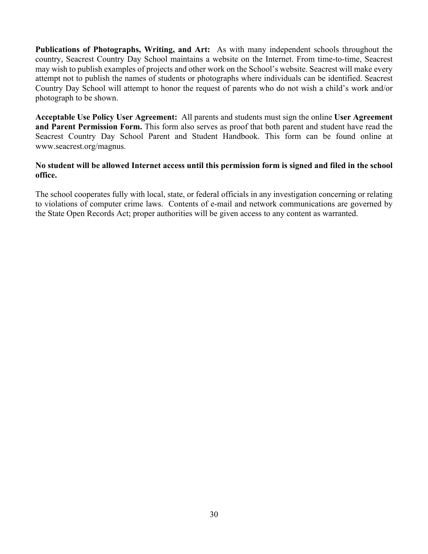**Publications of Photographs, Writing, and Art:** As with many independent schools throughout the country, Seacrest Country Day School maintains a website on the Internet. From time-to-time, Seacrest may wish to publish examples of projects and other work on the School's website. Seacrest will make every attempt not to publish the names of students or photographs where individuals can be identified. Seacrest Country Day School will attempt to honor the request of parents who do not wish a child's work and/or photograph to be shown.

**Acceptable Use Policy User Agreement:** All parents and students must sign the online **User Agreement and Parent Permission Form.** This form also serves as proof that both parent and student have read the Seacrest Country Day School Parent and Student Handbook. This form can be found online at www.seacrest.org/magnus.

#### **No student will be allowed Internet access until this permission form is signed and filed in the school office.**

The school cooperates fully with local, state, or federal officials in any investigation concerning or relating to violations of computer crime laws. Contents of e-mail and network communications are governed by the State Open Records Act; proper authorities will be given access to any content as warranted.